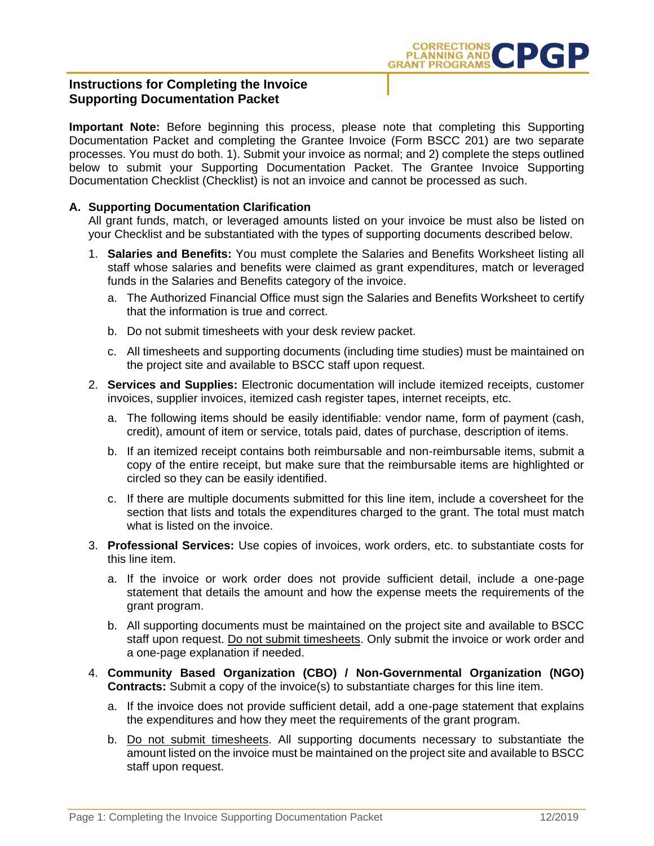

## **Instructions for Completing the Invoice Supporting Documentation Packet**

**Important Note:** Before beginning this process, please note that completing this Supporting Documentation Packet and completing the Grantee Invoice (Form BSCC 201) are two separate processes. You must do both. 1). Submit your invoice as normal; and 2) complete the steps outlined below to submit your Supporting Documentation Packet. The Grantee Invoice Supporting Documentation Checklist (Checklist) is not an invoice and cannot be processed as such.

## **A. Supporting Documentation Clarification**

All grant funds, match, or leveraged amounts listed on your invoice be must also be listed on your Checklist and be substantiated with the types of supporting documents described below.

- 1. **Salaries and Benefits:** You must complete the Salaries and Benefits Worksheet listing all staff whose salaries and benefits were claimed as grant expenditures, match or leveraged funds in the Salaries and Benefits category of the invoice.
	- a. The Authorized Financial Office must sign the Salaries and Benefits Worksheet to certify that the information is true and correct.
	- b. Do not submit timesheets with your desk review packet.
	- c. All timesheets and supporting documents (including time studies) must be maintained on the project site and available to BSCC staff upon request.
- 2. **Services and Supplies:** Electronic documentation will include itemized receipts, customer invoices, supplier invoices, itemized cash register tapes, internet receipts, etc.
	- a. The following items should be easily identifiable: vendor name, form of payment (cash, credit), amount of item or service, totals paid, dates of purchase, description of items.
	- b. If an itemized receipt contains both reimbursable and non-reimbursable items, submit a copy of the entire receipt, but make sure that the reimbursable items are highlighted or circled so they can be easily identified.
	- c. If there are multiple documents submitted for this line item, include a coversheet for the section that lists and totals the expenditures charged to the grant. The total must match what is listed on the invoice.
- 3. **Professional Services:** Use copies of invoices, work orders, etc. to substantiate costs for this line item.
	- a. If the invoice or work order does not provide sufficient detail, include a one-page statement that details the amount and how the expense meets the requirements of the grant program.
	- b. All supporting documents must be maintained on the project site and available to BSCC staff upon request. Do not submit timesheets. Only submit the invoice or work order and a one-page explanation if needed.
- 4. **Community Based Organization (CBO) / Non-Governmental Organization (NGO) Contracts:** Submit a copy of the invoice(s) to substantiate charges for this line item.
	- a. If the invoice does not provide sufficient detail, add a one-page statement that explains the expenditures and how they meet the requirements of the grant program.
	- b. Do not submit timesheets. All supporting documents necessary to substantiate the amount listed on the invoice must be maintained on the project site and available to BSCC staff upon request.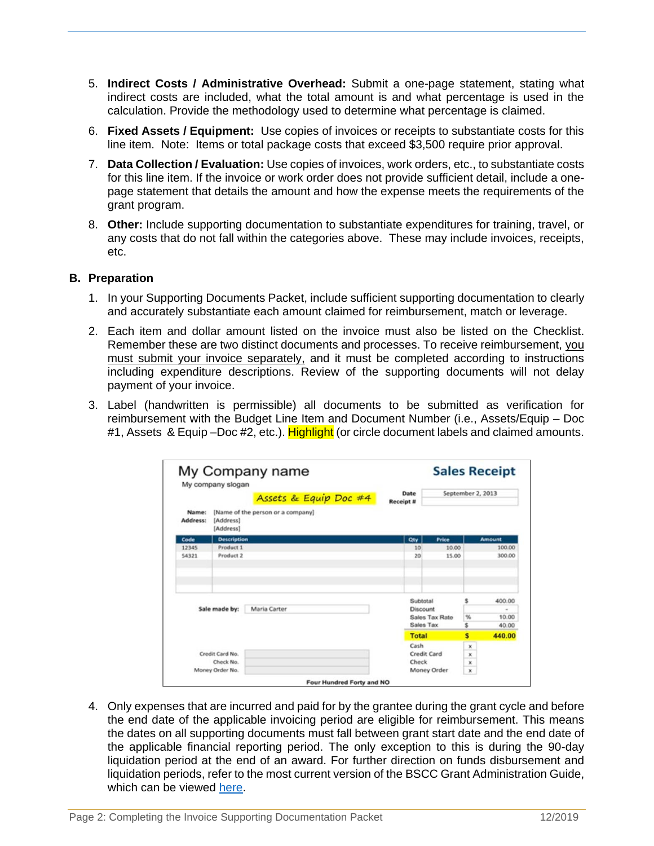- 5. **Indirect Costs / Administrative Overhead:** Submit a one-page statement, stating what indirect costs are included, what the total amount is and what percentage is used in the calculation. Provide the methodology used to determine what percentage is claimed.
- 6. **Fixed Assets / Equipment:** Use copies of invoices or receipts to substantiate costs for this line item. Note: Items or total package costs that exceed \$3,500 require prior approval.
- 7. **Data Collection / Evaluation:** Use copies of invoices, work orders, etc., to substantiate costs for this line item. If the invoice or work order does not provide sufficient detail, include a onepage statement that details the amount and how the expense meets the requirements of the grant program.
- 8. **Other:** Include supporting documentation to substantiate expenditures for training, travel, or any costs that do not fall within the categories above. These may include invoices, receipts, etc.

## **B. Preparation**

- 1. In your Supporting Documents Packet, include sufficient supporting documentation to clearly and accurately substantiate each amount claimed for reimbursement, match or leverage.
- 2. Each item and dollar amount listed on the invoice must also be listed on the Checklist. Remember these are two distinct documents and processes. To receive reimbursement, you must submit your invoice separately, and it must be completed according to instructions including expenditure descriptions. Review of the supporting documents will not delay payment of your invoice.
- 3. Label (handwritten is permissible) all documents to be submitted as verification for reimbursement with the Budget Line Item and Document Number (i.e., Assets/Equip – Doc #1, Assets & Equip –Doc #2, etc.). Highlight (or circle document labels and claimed amounts.

|                               | My Company name<br>My company slogan                        |                          |                      | <b>Sales Receipt</b> |                                    |  |
|-------------------------------|-------------------------------------------------------------|--------------------------|----------------------|----------------------|------------------------------------|--|
|                               | Assets & Equip Doc #4                                       | Date<br><b>Receipt #</b> |                      | September 2, 2013    |                                    |  |
| Name:<br>Address:             | [Name of the person or a company]<br>[Address]<br>[Address] |                          |                      |                      |                                    |  |
| Code                          | <b>Description</b>                                          | Qty                      | Price                |                      | <b>Amount</b>                      |  |
| 12345                         | Product 1                                                   | 10                       | 10.00                |                      | 100.00                             |  |
| 54321                         | Product 2                                                   | 20                       | 15.00                |                      | 300.00                             |  |
| Sale made by:<br>Maria Carter |                                                             |                          | Subtotal<br>Discount | s                    | 400.00<br>$\overline{\phantom{a}}$ |  |
|                               |                                                             |                          | Sales Tax Rate       | %                    | 10.00                              |  |
|                               |                                                             |                          | Sales Tax            |                      | 40.00                              |  |
|                               |                                                             | <b>Total</b>             |                      | s                    | 440.00                             |  |
|                               |                                                             | Cash                     |                      | ×                    |                                    |  |
|                               | Credit Card No.                                             |                          | Credit Card          |                      |                                    |  |
|                               |                                                             |                          | Check                |                      |                                    |  |
|                               | Check No.                                                   |                          |                      | ×                    |                                    |  |

4. Only expenses that are incurred and paid for by the grantee during the grant cycle and before the end date of the applicable invoicing period are eligible for reimbursement. This means the dates on all supporting documents must fall between grant start date and the end date of the applicable financial reporting period. The only exception to this is during the 90-day liquidation period at the end of an award. For further direction on funds disbursement and liquidation periods, refer to the most current version of the BSCC Grant Administration Guide, which can be viewed [here.](http://www.bscc.ca.gov/s_correctionsplanningandprograms.php)